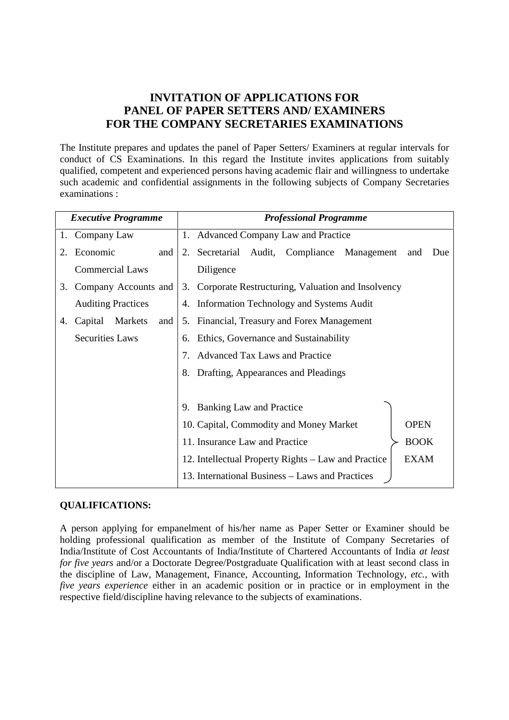# **INVITATION OF APPLICATIONS FOR PANEL OF PAPER SETTERS AND/ EXAMINERS FOR THE COMPANY SECRETARIES EXAMINATIONS**

The Institute prepares and updates the panel of Paper Setters/ Examiners at regular intervals for conduct of CS Examinations. In this regard the Institute invites applications from suitably qualified, competent and experienced persons having academic flair and willingness to undertake such academic and confidential assignments in the following subjects of Company Secretaries examinations :

| <b>Executive Programme</b> |                           |     | <b>Professional Programme</b>                                      |  |  |
|----------------------------|---------------------------|-----|--------------------------------------------------------------------|--|--|
|                            | 1. Company Law            |     | 1. Advanced Company Law and Practice                               |  |  |
| 2.                         | Economic                  | and | 2. Secretarial Audit, Compliance Management<br>and<br>Due          |  |  |
|                            | <b>Commercial Laws</b>    |     | Diligence                                                          |  |  |
| 3.                         | Company Accounts and      |     | 3. Corporate Restructuring, Valuation and Insolvency               |  |  |
|                            | <b>Auditing Practices</b> |     | 4. Information Technology and Systems Audit                        |  |  |
| 4.                         | Capital<br><b>Markets</b> | and | Financial, Treasury and Forex Management<br>5.                     |  |  |
|                            | <b>Securities Laws</b>    |     | 6. Ethics, Governance and Sustainability                           |  |  |
|                            |                           |     | 7. Advanced Tax Laws and Practice                                  |  |  |
|                            |                           |     | Drafting, Appearances and Pleadings<br>8.                          |  |  |
|                            |                           |     |                                                                    |  |  |
|                            |                           |     | 9. Banking Law and Practice                                        |  |  |
|                            |                           |     | 10. Capital, Commodity and Money Market<br><b>OPEN</b>             |  |  |
|                            |                           |     | <b>BOOK</b><br>11. Insurance Law and Practice                      |  |  |
|                            |                           |     | <b>EXAM</b><br>12. Intellectual Property Rights – Law and Practice |  |  |
|                            |                           |     | 13. International Business - Laws and Practices                    |  |  |

#### **QUALIFICATIONS:**

A person applying for empanelment of his/her name as Paper Setter or Examiner should be holding professional qualification as member of the Institute of Company Secretaries of India/Institute of Cost Accountants of India/Institute of Chartered Accountants of India *at least for five years* and/or a Doctorate Degree/Postgraduate Qualification with at least second class in the discipline of Law, Management, Finance, Accounting, Information Technology, *etc.*, with *five years experience* either in an academic position or in practice or in employment in the respective field/discipline having relevance to the subjects of examinations.